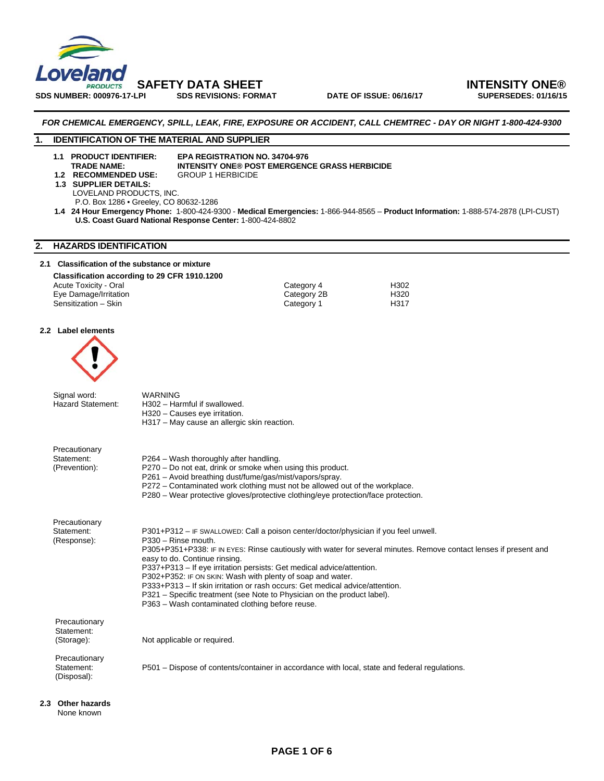

**SDS NUMBER: 000976-17-LPI SDS REVISIONS: FORMAT DATE OF ISSUE: 06/16/17 SUPERSEDES: 01/16/15** 

## **SAFETY DATA SHEET INTENSITY ONE®**

### *FOR CHEMICAL EMERGENCY, SPILL, LEAK, FIRE, EXPOSURE OR ACCIDENT, CALL CHEMTREC - DAY OR NIGHT 1-800-424-9300*

### **1. IDENTIFICATION OF THE MATERIAL AND SUPPLIER**

**1.1 PRODUCT IDENTIFIER: EPA REGISTRATION NO. 34704-976 INTENSITY ONE® POST EMERGENCE GRASS HERBICIDE**<br>GROUP 1 HERBICIDE

- **1.2 RECOMMENDED USE: 1.3 SUPPLIER DETAILS:** 
	- LOVELAND PRODUCTS, INC. P.O. Box 1286 • Greeley, CO 80632-1286
- **1.4 24 Hour Emergency Phone:** 1-800-424-9300 **Medical Emergencies:** 1-866-944-8565 **Product Information:** 1-888-574-2878 (LPI-CUST) **U.S. Coast Guard National Response Center:** 1-800-424-8802

### **2. HAZARDS IDENTIFICATION**

### **2.1 Classification of the substance or mixture**

**Classification according to 29 CFR 1910.1200** 

Acute Toxicity - Oral and the Category 4 Category 4 H302<br>
Eye Damage/Irritation and the Category 2B H320 Eye Damage/Irritation Category 2<br>
Sensitization – Skin Category 1<br>
Category 1 Sensitization – Skin Category 1 H317

### **2.2 Label elements**



| Signal word:<br><b>Hazard Statement:</b>     | <b>WARNING</b><br>H302 - Harmful if swallowed.<br>H320 – Causes eye irritation.<br>H317 - May cause an allergic skin reaction.                                                                                                                                                                                                                                                                                                                                                                                                                                                                                        |
|----------------------------------------------|-----------------------------------------------------------------------------------------------------------------------------------------------------------------------------------------------------------------------------------------------------------------------------------------------------------------------------------------------------------------------------------------------------------------------------------------------------------------------------------------------------------------------------------------------------------------------------------------------------------------------|
| Precautionary<br>Statement:<br>(Prevention): | P264 – Wash thoroughly after handling.<br>P270 - Do not eat, drink or smoke when using this product.<br>P261 - Avoid breathing dust/fume/gas/mist/vapors/spray.<br>P272 – Contaminated work clothing must not be allowed out of the workplace.<br>P280 - Wear protective gloves/protective clothing/eye protection/face protection.                                                                                                                                                                                                                                                                                   |
| Precautionary<br>Statement:<br>(Response):   | P301+P312 – IF SWALLOWED: Call a poison center/doctor/physician if you feel unwell.<br>P330 - Rinse mouth.<br>P305+P351+P338: IF IN EYES: Rinse cautiously with water for several minutes. Remove contact lenses if present and<br>easy to do. Continue rinsing.<br>P337+P313 - If eye irritation persists: Get medical advice/attention.<br>P302+P352: IF ON SKIN: Wash with plenty of soap and water.<br>P333+P313 - If skin irritation or rash occurs: Get medical advice/attention.<br>P321 – Specific treatment (see Note to Physician on the product label).<br>P363 - Wash contaminated clothing before reuse. |
| Precautionary<br>Statement:<br>(Storage):    | Not applicable or required.                                                                                                                                                                                                                                                                                                                                                                                                                                                                                                                                                                                           |
| Precautionary<br>Statement:<br>(Disposal):   | P501 – Dispose of contents/container in accordance with local, state and federal regulations.                                                                                                                                                                                                                                                                                                                                                                                                                                                                                                                         |

**2.3 Other hazards**  None known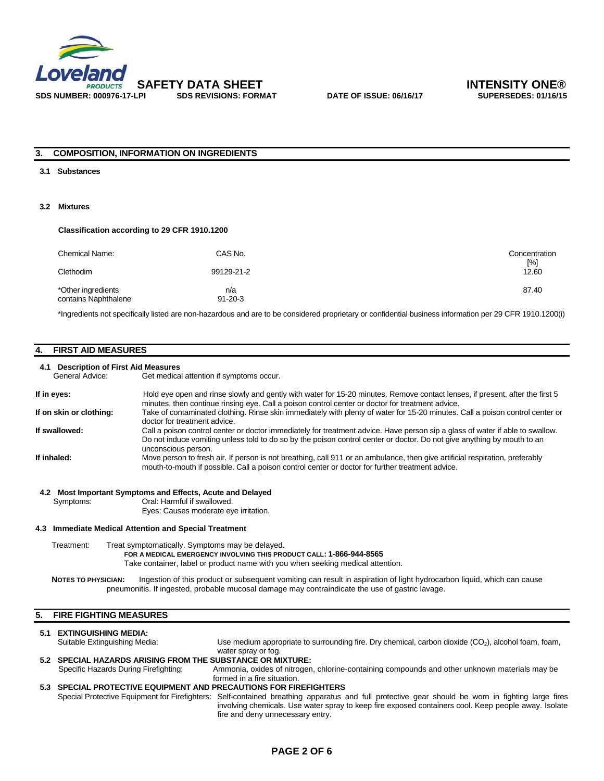

### **3. COMPOSITION, INFORMATION ON INGREDIENTS**

#### **3.1 Substances**

### **3.2 Mixtures**

### **Classification according to 29 CFR 1910.1200**

| Chemical Name:<br>Clethodim                | CAS No.<br>99129-21-2 | Concentration<br>$[\%]$<br>12.60 |
|--------------------------------------------|-----------------------|----------------------------------|
| *Other ingredients<br>contains Naphthalene | n/a<br>$91 - 20 - 3$  | 87.40                            |

\*Ingredients not specifically listed are non-hazardous and are to be considered proprietary or confidential business information per 29 CFR 1910.1200(i)

### **4. FIRST AID MEASURES**

### **4.1 Description of First Aid Measures**

Get medical attention if symptoms occur.

| If in eyes:             | Hold eye open and rinse slowly and gently with water for 15-20 minutes. Remove contact lenses, if present, after the first 5<br>minutes, then continue rinsing eye. Call a poison control center or doctor for treatment advice.                                                |
|-------------------------|---------------------------------------------------------------------------------------------------------------------------------------------------------------------------------------------------------------------------------------------------------------------------------|
| If on skin or clothing: | Take of contaminated clothing. Rinse skin immediately with plenty of water for 15-20 minutes. Call a poison control center or<br>doctor for treatment advice.                                                                                                                   |
| If swallowed:           | Call a poison control center or doctor immediately for treatment advice. Have person sip a glass of water if able to swallow.<br>Do not induce vomiting unless told to do so by the poison control center or doctor. Do not give anything by mouth to an<br>unconscious person. |
| If inhaled:             | Move person to fresh air. If person is not breathing, call 911 or an ambulance, then give artificial respiration, preferably<br>mouth-to-mouth if possible. Call a poison control center or doctor for further treatment advice.                                                |

### **4.2 Most Important Symptoms and Effects, Acute and Delayed**

Symptoms: Oral: Harmful if swallowed.

Eyes: Causes moderate eye irritation.

#### **4.3 Immediate Medical Attention and Special Treatment**

Treatment: Treat symptomatically. Symptoms may be delayed.  **FOR A MEDICAL EMERGENCY INVOLVING THIS PRODUCT CALL: 1-866-944-8565** Take container, label or product name with you when seeking medical attention.

**NOTES TO PHYSICIAN:** Ingestion of this product or subsequent vomiting can result in aspiration of light hydrocarbon liquid, which can cause pneumonitis. If ingested, probable mucosal damage may contraindicate the use of gastric lavage.

### **5. FIRE FIGHTING MEASURES**

### **5.1 EXTINGUISHING MEDIA:** Suitable Extinguishing Media: Use medium appropriate to surrounding fire. Dry chemical, carbon dioxide (CO<sub>2</sub>), alcohol foam, foam, water spray or fog. **5.2 SPECIAL HAZARDS ARISING FROM THE SUBSTANCE OR MIXTURE:**

 Specific Hazards During Firefighting: Ammonia, oxides of nitrogen, chlorine-containing compounds and other unknown materials may be formed in a fire situation.

### **5.3 SPECIAL PROTECTIVE EQUIPMENT AND PRECAUTIONS FOR FIREFIGHTERS**  Special Protective Equipment for Firefighters: Self-contained breathing apparatus and full protective gear should be worn in fighting large fires involving chemicals. Use water spray to keep fire exposed containers cool. Keep people away. Isolate fire and deny unnecessary entry.

### **PAGE 2 OF 6**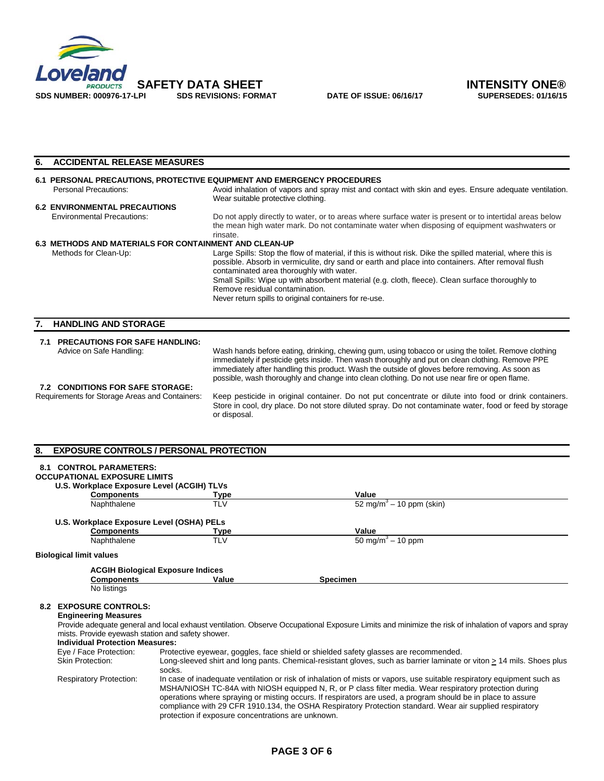

| 6.                                                            | <b>ACCIDENTAL RELEASE MEASURES</b>                                      |                                                                                                                                                                                                                                                             |  |  |  |
|---------------------------------------------------------------|-------------------------------------------------------------------------|-------------------------------------------------------------------------------------------------------------------------------------------------------------------------------------------------------------------------------------------------------------|--|--|--|
|                                                               | 6.1 PERSONAL PRECAUTIONS, PROTECTIVE EQUIPMENT AND EMERGENCY PROCEDURES |                                                                                                                                                                                                                                                             |  |  |  |
|                                                               | Personal Precautions:                                                   | Avoid inhalation of vapors and spray mist and contact with skin and eyes. Ensure adequate ventilation.<br>Wear suitable protective clothing.                                                                                                                |  |  |  |
| <b>6.2 ENVIRONMENTAL PRECAUTIONS</b>                          |                                                                         |                                                                                                                                                                                                                                                             |  |  |  |
|                                                               | <b>Environmental Precautions:</b>                                       | Do not apply directly to water, or to areas where surface water is present or to intertidal areas below<br>the mean high water mark. Do not contaminate water when disposing of equipment washwaters or<br>rinsate.                                         |  |  |  |
| <b>6.3 METHODS AND MATERIALS FOR CONTAINMENT AND CLEAN-UP</b> |                                                                         |                                                                                                                                                                                                                                                             |  |  |  |
|                                                               | Methods for Clean-Up:                                                   | Large Spills: Stop the flow of material, if this is without risk. Dike the spilled material, where this is<br>possible. Absorb in vermiculite, dry sand or earth and place into containers. After removal flush<br>contaminated area thoroughly with water. |  |  |  |
|                                                               |                                                                         | Small Spills: Wipe up with absorbent material (e.g. cloth, fleece). Clean surface thoroughly to<br>Remove residual contamination.                                                                                                                           |  |  |  |
|                                                               |                                                                         | Never return spills to original containers for re-use.                                                                                                                                                                                                      |  |  |  |
|                                                               | <b>HANDLING AND STORAGE</b>                                             |                                                                                                                                                                                                                                                             |  |  |  |
| 7.1                                                           | <b>PRECAUTIONS FOR SAFE HANDLING:</b><br>Advice on Safe Handling:       | Wash hands before eating, drinking, chewing gum, using tobacco or using the toilet. Remove clothing                                                                                                                                                         |  |  |  |

### **7.2 CONDITIONS FOR SAFE STORAGE:**

immediately if pesticide gets inside. Then wash thoroughly and put on clean clothing. Remove PPE immediately after handling this product. Wash the outside of gloves before removing. As soon as possible, wash thoroughly and change into clean clothing. Do not use near fire or open flame.

Requirements for Storage Areas and Containers: Keep pesticide in original container. Do not put concentrate or dilute into food or drink containers. Store in cool, dry place. Do not store diluted spray. Do not contaminate water, food or feed by storage or disposal.

### **8. EXPOSURE CONTROLS / PERSONAL PROTECTION**

| 8.1                                                                                                                                                                                                                                                                                                                                                                                                                                                                                                                                                   | <b>CONTROL PARAMETERS:</b>                                                                                                                                                                                |                                                                                                                                 |                                      |  |  |
|-------------------------------------------------------------------------------------------------------------------------------------------------------------------------------------------------------------------------------------------------------------------------------------------------------------------------------------------------------------------------------------------------------------------------------------------------------------------------------------------------------------------------------------------------------|-----------------------------------------------------------------------------------------------------------------------------------------------------------------------------------------------------------|---------------------------------------------------------------------------------------------------------------------------------|--------------------------------------|--|--|
|                                                                                                                                                                                                                                                                                                                                                                                                                                                                                                                                                       | <b>OCCUPATIONAL EXPOSURE LIMITS</b>                                                                                                                                                                       |                                                                                                                                 |                                      |  |  |
|                                                                                                                                                                                                                                                                                                                                                                                                                                                                                                                                                       | U.S. Workplace Exposure Level (ACGIH) TLVs                                                                                                                                                                |                                                                                                                                 |                                      |  |  |
|                                                                                                                                                                                                                                                                                                                                                                                                                                                                                                                                                       | <b>Components</b>                                                                                                                                                                                         | Type                                                                                                                            | Value                                |  |  |
|                                                                                                                                                                                                                                                                                                                                                                                                                                                                                                                                                       | Naphthalene                                                                                                                                                                                               | <b>TLV</b>                                                                                                                      | 52 mg/m <sup>3</sup> – 10 ppm (skin) |  |  |
|                                                                                                                                                                                                                                                                                                                                                                                                                                                                                                                                                       | U.S. Workplace Exposure Level (OSHA) PELs                                                                                                                                                                 |                                                                                                                                 |                                      |  |  |
|                                                                                                                                                                                                                                                                                                                                                                                                                                                                                                                                                       | <b>Components</b>                                                                                                                                                                                         | Type                                                                                                                            | Value                                |  |  |
|                                                                                                                                                                                                                                                                                                                                                                                                                                                                                                                                                       | Naphthalene                                                                                                                                                                                               | <b>TLV</b>                                                                                                                      | 50 mg/m <sup>3</sup> – 10 ppm        |  |  |
|                                                                                                                                                                                                                                                                                                                                                                                                                                                                                                                                                       | <b>Biological limit values</b>                                                                                                                                                                            |                                                                                                                                 |                                      |  |  |
|                                                                                                                                                                                                                                                                                                                                                                                                                                                                                                                                                       |                                                                                                                                                                                                           | <b>ACGIH Biological Exposure Indices</b>                                                                                        |                                      |  |  |
|                                                                                                                                                                                                                                                                                                                                                                                                                                                                                                                                                       | <b>Components</b>                                                                                                                                                                                         | Value                                                                                                                           | <b>Specimen</b>                      |  |  |
|                                                                                                                                                                                                                                                                                                                                                                                                                                                                                                                                                       | No listings                                                                                                                                                                                               |                                                                                                                                 |                                      |  |  |
| 8.2                                                                                                                                                                                                                                                                                                                                                                                                                                                                                                                                                   | <b>EXPOSURE CONTROLS:</b>                                                                                                                                                                                 |                                                                                                                                 |                                      |  |  |
|                                                                                                                                                                                                                                                                                                                                                                                                                                                                                                                                                       | <b>Engineering Measures</b>                                                                                                                                                                               |                                                                                                                                 |                                      |  |  |
|                                                                                                                                                                                                                                                                                                                                                                                                                                                                                                                                                       | Provide adequate general and local exhaust ventilation. Observe Occupational Exposure Limits and minimize the risk of inhalation of vapors and spray<br>mists. Provide eyewash station and safety shower. |                                                                                                                                 |                                      |  |  |
|                                                                                                                                                                                                                                                                                                                                                                                                                                                                                                                                                       | <b>Individual Protection Measures:</b>                                                                                                                                                                    |                                                                                                                                 |                                      |  |  |
|                                                                                                                                                                                                                                                                                                                                                                                                                                                                                                                                                       | Protective eyewear, goggles, face shield or shielded safety glasses are recommended.<br>Eye / Face Protection:                                                                                            |                                                                                                                                 |                                      |  |  |
|                                                                                                                                                                                                                                                                                                                                                                                                                                                                                                                                                       | <b>Skin Protection:</b>                                                                                                                                                                                   | Long-sleeved shirt and long pants. Chemical-resistant gloves, such as barrier laminate or viton > 14 mils. Shoes plus<br>socks. |                                      |  |  |
| <b>Respiratory Protection:</b><br>In case of inadequate ventilation or risk of inhalation of mists or vapors, use suitable respiratory equipment such as<br>MSHA/NIOSH TC-84A with NIOSH equipped N, R, or P class filter media. Wear respiratory protection during<br>operations where spraying or misting occurs. If respirators are used, a program should be in place to assure<br>compliance with 29 CFR 1910.134, the OSHA Respiratory Protection standard. Wear air supplied respiratory<br>protection if exposure concentrations are unknown. |                                                                                                                                                                                                           |                                                                                                                                 |                                      |  |  |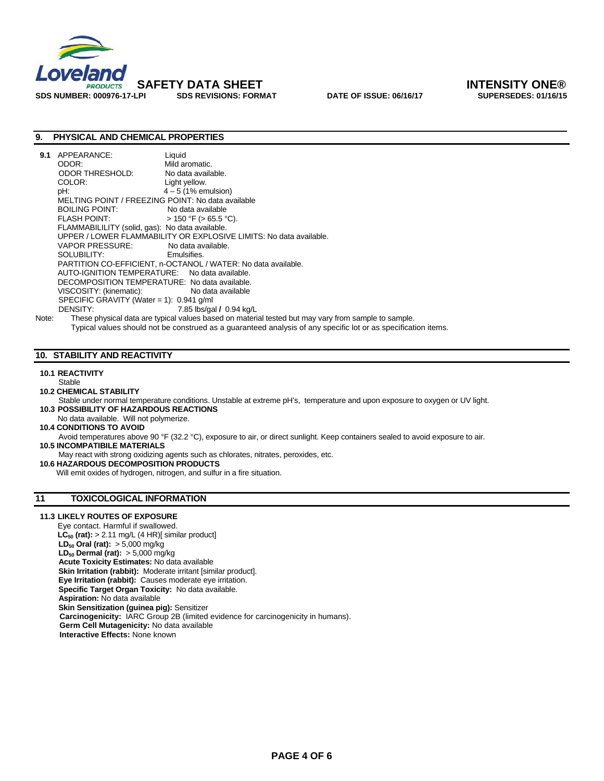

# **SAFETY DATA SHEET INTENSITY ONE®**

### **9. PHYSICAL AND CHEMICAL PROPERTIES**

| 9.1   | APPEARANCE:                                                        | Liquid                                                                                              |  |  |
|-------|--------------------------------------------------------------------|-----------------------------------------------------------------------------------------------------|--|--|
|       | ODOR:                                                              | Mild aromatic.                                                                                      |  |  |
|       | ODOR THRESHOLD:                                                    | No data available.                                                                                  |  |  |
|       | COLOR:                                                             | Light yellow.                                                                                       |  |  |
|       | pH:                                                                | $4-5$ (1% emulsion)                                                                                 |  |  |
|       | MELTING POINT / FREEZING POINT: No data available                  |                                                                                                     |  |  |
|       | BOILING POINT:                                                     | No data available                                                                                   |  |  |
|       |                                                                    | $>$ 150 °F ( $>$ 65.5 °C).                                                                          |  |  |
|       | FLAMMABILILITY (solid, gas): No data available.                    |                                                                                                     |  |  |
|       | UPPER / LOWER FLAMMABILITY OR EXPLOSIVE LIMITS: No data available. |                                                                                                     |  |  |
|       | VAPOR PRESSURE: No data available.                                 |                                                                                                     |  |  |
|       | SOLUBILITY: SOLUBILITY:                                            | Emulsifies.                                                                                         |  |  |
|       | PARTITION CO-EFFICIENT, n-OCTANOL / WATER: No data available.      |                                                                                                     |  |  |
|       | AUTO-IGNITION TEMPERATURE: No data available.                      |                                                                                                     |  |  |
|       | DECOMPOSITION TEMPERATURE: No data available.                      |                                                                                                     |  |  |
|       | VISCOSITY: (kinematic): No data available                          |                                                                                                     |  |  |
|       | SPECIFIC GRAVITY (Water = 1): $0.941$ g/ml                         |                                                                                                     |  |  |
|       | DENSITY:                                                           | 7.85 lbs/gal / 0.94 kg/L                                                                            |  |  |
| Note: |                                                                    | These physical data are typical values based on material tested but may vary from sample to sample. |  |  |

Typical values should not be construed as a guaranteed analysis of any specific lot or as specification items.

### **10. STABILITY AND REACTIVITY**

### **10.1 REACTIVITY**

- **Stable**
- **10.2 CHEMICAL STABILITY**
- Stable under normal temperature conditions. Unstable at extreme pH's, temperature and upon exposure to oxygen or UV light. **10.3 POSSIBILITY OF HAZARDOUS REACTIONS**
- No data available. Will not polymerize.
- **10.4 CONDITIONS TO AVOID**

Avoid temperatures above 90 °F (32.2 °C), exposure to air, or direct sunlight. Keep containers sealed to avoid exposure to air.

 **10.5 INCOMPATIBILE MATERIALS** 

May react with strong oxidizing agents such as chlorates, nitrates, peroxides, etc.

 **10.6 HAZARDOUS DECOMPOSITION PRODUCTS** 

Will emit oxides of hydrogen, nitrogen, and sulfur in a fire situation.

### **11 TOXICOLOGICAL INFORMATION**

### **11.3 LIKELY ROUTES OF EXPOSURE**

Eye contact. Harmful if swallowed.  $LC_{50}$  (rat):  $> 2.11$  mg/L (4 HR)[ similar product]  **LD50 Oral (rat):** > 5,000 mg/kg **LD<sub>50</sub> Dermal (rat):** > 5,000 mg/kg **Acute Toxicity Estimates:** No data available **Skin Irritation (rabbit):** Moderate irritant [similar product].  **Eye Irritation (rabbit):** Causes moderate eye irritation.  **Specific Target Organ Toxicity:** No data available. **Aspiration:** No data available **Skin Sensitization (guinea pig):** Sensitizer  **Carcinogenicity:** IARC Group 2B (limited evidence for carcinogenicity in humans). **Germ Cell Mutagenicity:** No data available **Interactive Effects:** None known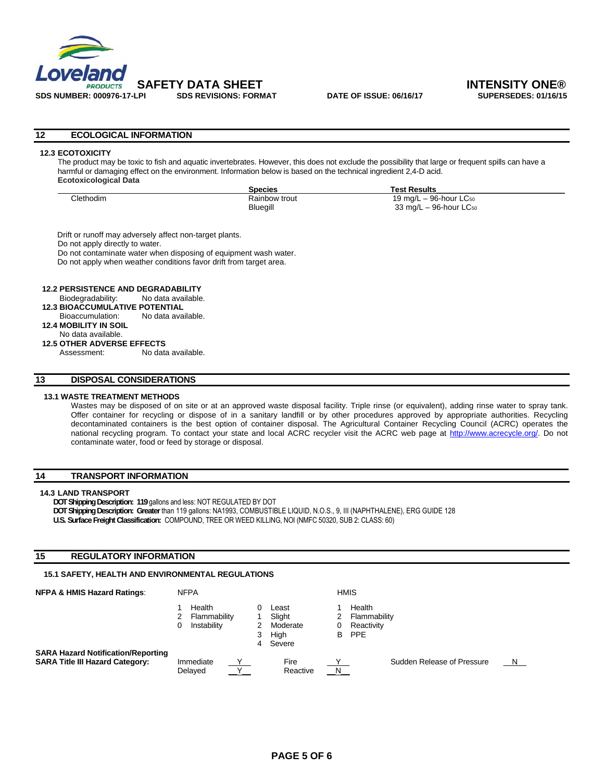

### **12 ECOLOGICAL INFORMATION**

### **12.3 ECOTOXICITY**

The product may be toxic to fish and aquatic invertebrates. However, this does not exclude the possibility that large or frequent spills can have a harmful or damaging effect on the environment. Information below is based on the technical ingredient 2,4-D acid. **Ecotoxicological Data** 

|                  | <b>Species</b> | Test Results                            |  |
|------------------|----------------|-----------------------------------------|--|
| <b>Clethodim</b> | Rainbow trout  | 19 mg/L $-$ 96-hour LC $_{50}$          |  |
|                  | Bluegill       | $33 \text{ mg/L} - 96$ -hour LC $_{50}$ |  |

 Drift or runoff may adversely affect non-target plants. Do not apply directly to water. Do not contaminate water when disposing of equipment wash water. Do not apply when weather conditions favor drift from target area.

### **12.2 PERSISTENCE AND DEGRADABILITY**

Biodegradability: No data available.

- **12.3 BIOACCUMULATIVE POTENTIAL** Bioaccumulation: No data available.
- **12.4 MOBILITY IN SOIL**

No data available.

 **12.5 OTHER ADVERSE EFFECTS**  Assessment: No data available.

### **13 DISPOSAL CONSIDERATIONS**

### **13.1 WASTE TREATMENT METHODS**

Wastes may be disposed of on site or at an approved waste disposal facility. Triple rinse (or equivalent), adding rinse water to spray tank. Offer container for recycling or dispose of in a sanitary landfill or by other procedures approved by appropriate authorities. Recycling decontaminated containers is the best option of container disposal. The Agricultural Container Recycling Council (ACRC) operates the national recycling program. To contact your state and local ACRC recycler visit the ACRC web page at http://www.acrecycle.org/. Do not contaminate water, food or feed by storage or disposal.

### **14 TRANSPORT INFORMATION**

### **14.3 LAND TRANSPORT**

**DOT Shipping Description: 119** gallons and less: NOT REGULATED BY DOT **DOT Shipping Description: Greater** than 119 gallons: NA1993, COMBUSTIBLE LIQUID, N.O.S., 9, III (NAPHTHALENE), ERG GUIDE 128

**U.S. Surface Freight Classification:** COMPOUND, TREE OR WEED KILLING, NOI (NMFC 50320, SUB 2: CLASS: 60)

### **15 REGULATORY INFORMATION**

### **15.1 SAFETY, HEALTH AND ENVIRONMENTAL REGULATIONS**

| <b>NFPA &amp; HMIS Hazard Ratings:</b>                                              | <b>NFPA</b> |                                       | <b>HMIS</b> |                                               |   |                                                    |
|-------------------------------------------------------------------------------------|-------------|---------------------------------------|-------------|-----------------------------------------------|---|----------------------------------------------------|
|                                                                                     |             | Health<br>Flammability<br>Instability | 3           | Least<br>Slight<br>Moderate<br>High<br>Severe | В | Health<br>Flammability<br>Reactivity<br><b>PPE</b> |
| <b>SARA Hazard Notification/Reporting</b><br><b>SARA Title III Hazard Category:</b> |             | Immediate<br>Delaved                  |             | Fire<br>Reactive                              | N | Sudden Release of Pressure<br>N.                   |